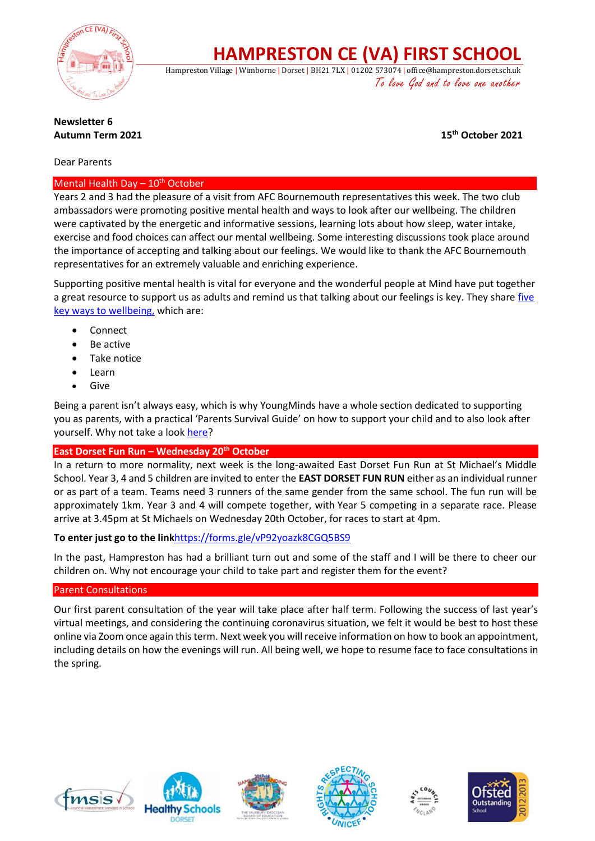

**HAMPRESTON CE (VA) FIRST SCHOOL**

Hampreston Village | Wimborne | Dorset | BH21 7LX | 01202 573074 | office@hampreston.dorset.sch.uk To love God and to love one another

### **Newsletter 6 Autumn Term 2021 15th October 2021**

### Dear Parents

### Mental Health Day  $-10^{th}$  October

Years 2 and 3 had the pleasure of a visit from AFC Bournemouth representatives this week. The two club ambassadors were promoting positive mental health and ways to look after our wellbeing. The children were captivated by the energetic and informative sessions, learning lots about how sleep, water intake, exercise and food choices can affect our mental wellbeing. Some interesting discussions took place around the importance of accepting and talking about our feelings. We would like to thank the AFC Bournemouth representatives for an extremely valuable and enriching experience.

Supporting positive mental health is vital for everyone and the wonderful people at Mind have put together a great resource to support us as adults and remind us that talking about our feelings is key. They share [five](https://www.mind.org.uk/workplace/mental-health-at-work/taking-care-of-yourself/five-ways-to-wellbeing/)  [key ways to wellbeing,](https://www.mind.org.uk/workplace/mental-health-at-work/taking-care-of-yourself/five-ways-to-wellbeing/) which are:

- Connect
- Be active
- Take notice
- Learn
- Give

Being a parent isn't always easy, which is why YoungMinds have a whole section dedicated to supporting you as parents, with a practical 'Parents Survival Guide' on how to support your child and to also look after yourself. Why not take a look [here?](https://www.youngminds.org.uk/parent/survival-guide/)

### **East Dorset Fun Run – Wednesday 20th October**

In a return to more normality, next week is the long-awaited East Dorset Fun Run at St Michael's Middle School. Year 3, 4 and 5 children are invited to enter the **EAST DORSET FUN RUN** either as an individual runner or as part of a team. Teams need 3 runners of the same gender from the same school. The fun run will be approximately 1km. Year 3 and 4 will compete together, with Year 5 competing in a separate race. Please arrive at 3.45pm at St Michaels on Wednesday 20th October, for races to start at 4pm.

### **To enter just go to the link**<https://forms.gle/vP92yoazk8CGQ5BS9>

In the past, Hampreston has had a brilliant turn out and some of the staff and I will be there to cheer our children on. Why not encourage your child to take part and register them for the event?

### Parent Consultations

Our first parent consultation of the year will take place after half term. Following the success of last year's virtual meetings, and considering the continuing coronavirus situation, we felt it would be best to host these online via Zoom once again this term. Next week you will receive information on how to book an appointment, including details on how the evenings will run. All being well, we hope to resume face to face consultations in the spring.











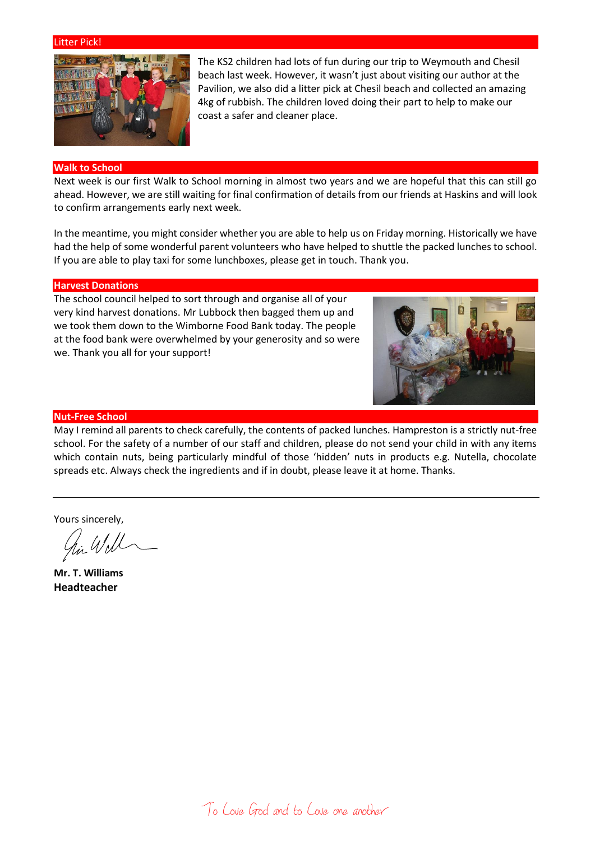#### Litter Pick!



The KS2 children had lots of fun during our trip to Weymouth and Chesil beach last week. However, it wasn't just about visiting our author at the Pavilion, we also did a litter pick at Chesil beach and collected an amazing 4kg of rubbish. The children loved doing their part to help to make our coast a safer and cleaner place.

### **Walk to School**

Next week is our first Walk to School morning in almost two years and we are hopeful that this can still go ahead. However, we are still waiting for final confirmation of details from our friends at Haskins and will look to confirm arrangements early next week.

In the meantime, you might consider whether you are able to help us on Friday morning. Historically we have had the help of some wonderful parent volunteers who have helped to shuttle the packed lunches to school. If you are able to play taxi for some lunchboxes, please get in touch. Thank you.

#### **Harvest Donations**

The school council helped to sort through and organise all of your very kind harvest donations. Mr Lubbock then bagged them up and we took them down to the Wimborne Food Bank today. The people at the food bank were overwhelmed by your generosity and so were we. Thank you all for your support!



#### **Nut-Free School**

May I remind all parents to check carefully, the contents of packed lunches. Hampreston is a strictly nut-free school. For the safety of a number of our staff and children, please do not send your child in with any items which contain nuts, being particularly mindful of those 'hidden' nuts in products e.g. Nutella, chocolate spreads etc. Always check the ingredients and if in doubt, please leave it at home. Thanks.

Yours sincerely,

in Will

**Mr. T. Williams Headteacher**

To Love God and to Love one another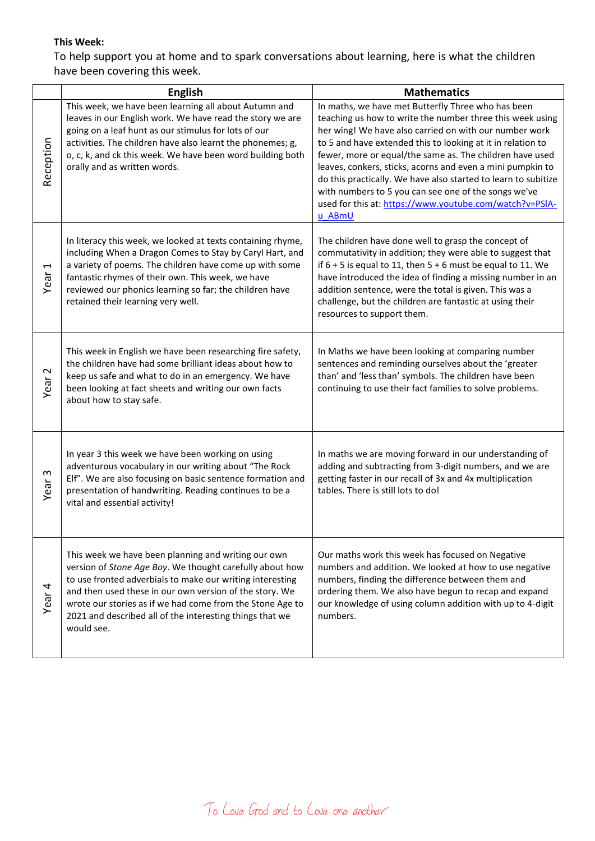## **This Week:**

To help support you at home and to spark conversations about learning, here is what the children have been covering this week.

|                                  | <b>English</b>                                                                                                                                                                                                                                                                                                                                                                 | <b>Mathematics</b>                                                                                                                                                                                                                                                                                                                                                                                                                                                                                                                                                |
|----------------------------------|--------------------------------------------------------------------------------------------------------------------------------------------------------------------------------------------------------------------------------------------------------------------------------------------------------------------------------------------------------------------------------|-------------------------------------------------------------------------------------------------------------------------------------------------------------------------------------------------------------------------------------------------------------------------------------------------------------------------------------------------------------------------------------------------------------------------------------------------------------------------------------------------------------------------------------------------------------------|
| Reception                        | This week, we have been learning all about Autumn and<br>leaves in our English work. We have read the story we are<br>going on a leaf hunt as our stimulus for lots of our<br>activities. The children have also learnt the phonemes; g,<br>o, c, k, and ck this week. We have been word building both<br>orally and as written words.                                         | In maths, we have met Butterfly Three who has been<br>teaching us how to write the number three this week using<br>her wing! We have also carried on with our number work<br>to 5 and have extended this to looking at it in relation to<br>fewer, more or equal/the same as. The children have used<br>leaves, conkers, sticks, acorns and even a mini pumpkin to<br>do this practically. We have also started to learn to subitize<br>with numbers to 5 you can see one of the songs we've<br>used for this at: https://www.youtube.com/watch?v=PSIA-<br>u ABmU |
| $\overline{\phantom{0}}$<br>Year | In literacy this week, we looked at texts containing rhyme,<br>including When a Dragon Comes to Stay by Caryl Hart, and<br>a variety of poems. The children have come up with some<br>fantastic rhymes of their own. This week, we have<br>reviewed our phonics learning so far; the children have<br>retained their learning very well.                                       | The children have done well to grasp the concept of<br>commutativity in addition; they were able to suggest that<br>if $6 + 5$ is equal to 11, then $5 + 6$ must be equal to 11. We<br>have introduced the idea of finding a missing number in an<br>addition sentence, were the total is given. This was a<br>challenge, but the children are fantastic at using their<br>resources to support them.                                                                                                                                                             |
| $\mathbf 2$<br>Year              | This week in English we have been researching fire safety,<br>the children have had some brilliant ideas about how to<br>keep us safe and what to do in an emergency. We have<br>been looking at fact sheets and writing our own facts<br>about how to stay safe.                                                                                                              | In Maths we have been looking at comparing number<br>sentences and reminding ourselves about the 'greater<br>than' and 'less than' symbols. The children have been<br>continuing to use their fact families to solve problems.                                                                                                                                                                                                                                                                                                                                    |
| w<br>Year                        | In year 3 this week we have been working on using<br>adventurous vocabulary in our writing about "The Rock<br>Elf". We are also focusing on basic sentence formation and<br>presentation of handwriting. Reading continues to be a<br>vital and essential activity!                                                                                                            | In maths we are moving forward in our understanding of<br>adding and subtracting from 3-digit numbers, and we are<br>getting faster in our recall of 3x and 4x multiplication<br>tables. There is still lots to do!                                                                                                                                                                                                                                                                                                                                               |
| Year 4                           | This week we have been planning and writing our own<br>version of Stone Age Boy. We thought carefully about how<br>to use fronted adverbials to make our writing interesting<br>and then used these in our own version of the story. We<br>wrote our stories as if we had come from the Stone Age to<br>2021 and described all of the interesting things that we<br>would see. | Our maths work this week has focused on Negative<br>numbers and addition. We looked at how to use negative<br>numbers, finding the difference between them and<br>ordering them. We also have begun to recap and expand<br>our knowledge of using column addition with up to 4-digit<br>numbers.                                                                                                                                                                                                                                                                  |